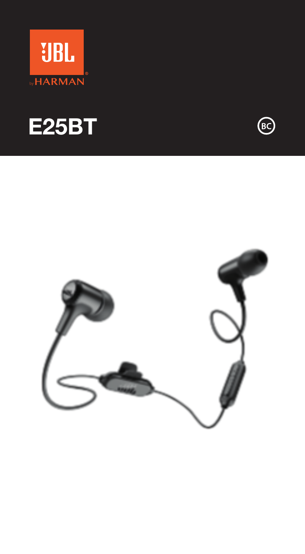





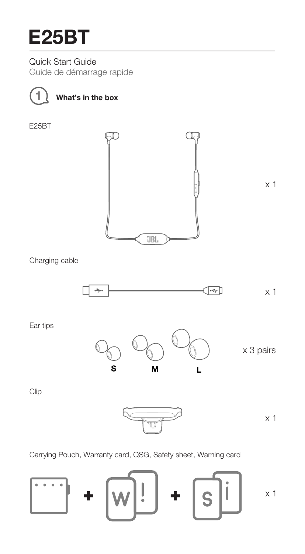Quick Start Guide Guide de démarrage rapide



**1 What's in the box**

E25BT



Charging cable



Ear tips



Clip



Carrying Pouch, Warranty card, QSG, Safety sheet, Warning card

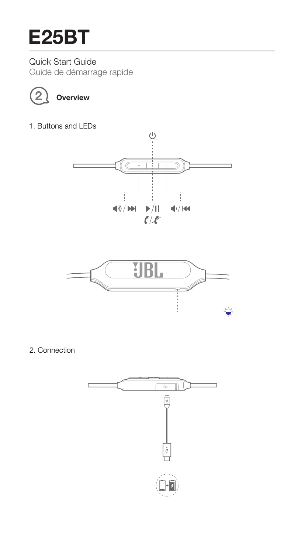Quick Start Guide Guide de démarrage rapide



# **2 Overview**

1. Buttons and LEDs





2. Connection

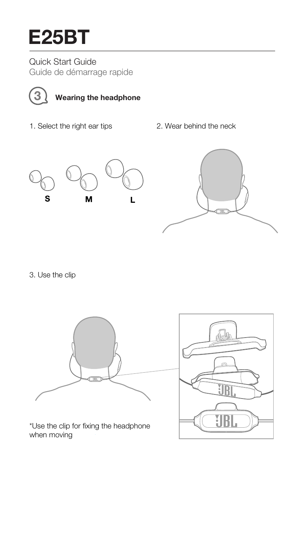Quick Start Guide Guide de démarrage rapide



# **3 Wearing the headphone**

- 1. Select the right ear tips 2. Wear behind the neck
	-





3. Use the clip



\*Use the clip for fixing the headphone when moving

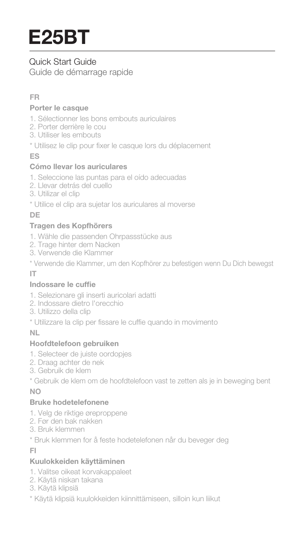# Quick Start Guide

Guide de démarrage rapide

# **FR**

### **Porter le casque**

- 1. Sélectionner les bons embouts auriculaires
- 2. Porter derrière le cou
- 3. Utiliser les embouts
- \* Utilisez le clip pour fixer le casque lors du déplacement

# **ES**

### **Cómo llevar los auriculares**

- 1. Seleccione las puntas para el oído adecuadas
- 2. Llevar detrás del cuello
- 3. Utilizar el clip
- \* Utilice el clip ara sujetar los auriculares al moverse

# **DE**

# **Tragen des Kopfhörers**

- 1. Wähle die passenden Ohrpassstücke aus
- 2. Trage hinter dem Nacken
- 3. Verwende die Klammer
- \* Verwende die Klammer, um den Kopfhörer zu befestigen wenn Du Dich bewegst

# **IT**

# **Indossare** le cuffie

- 1. Selezionare gli inserti auricolari adatti
- 2. Indossare dietro l'orecchio
- 3. Utilizzo della clip
- \* Utilizzare la clip per fissare le cuffie quando in movimento

# **NL**

# **Hoofdtelefoon gebruiken**

- 1. Selecteer de juiste oordopjes
- 2. Draag achter de nek
- 3. Gebruik de klem

\* Gebruik de klem om de hoofdtelefoon vast te zetten als je in beweging bent

# **NO**

# **Bruke hodetelefonene**

- 1. Velg de riktige øreproppene 2. Før den bak nakken
- 
- 3. Bruk klemmen
- \* Bruk klemmen for å feste hodetelefonen når du beveger deg

# **FI**

# **Kuulokkeiden käyttäminen**

- 1. Valitse oikeat korvakappaleet
- 2. Käytä niskan takana
- 3. Käytä klipsiä
- \* Käytä klipsiä kuulokkeiden kiinnittämiseen, silloin kun liikut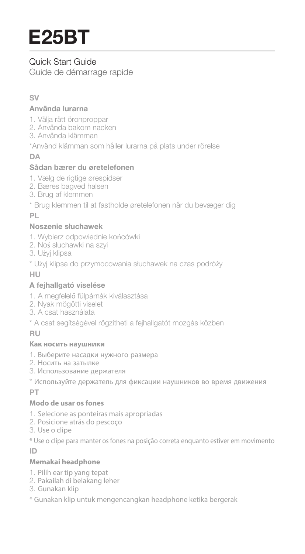# Quick Start Guide

Guide de démarrage rapide

# **SV**

### **Använda lurarna**

- 1. Välja rätt öronproppar
- 2. Använda bakom nacken
- 3. Använda klämman
- \*Använd klämman som håller lurarna på plats under rörelse

# **DA**

# **Sådan bærer du øretelefonen**

- 1. Vælg de rigtige ørespidser
- 2. Bæres bagved halsen
- 3. Brug af klemmen
- \* Brug klemmen til at fastholde øretelefonen når du bevæger dig

**PL**

# **Noszenie słuchawek**

- 1. Wybierz odpowiednie końcówki
- 2. Noś słuchawki na szyi
- 3. Użyj klipsa
- \* Użyj klipsa do przymocowania słuchawek na czas podróży

### **HU**

# **A fejhallgató viselése**

- 1. A megfelelő fülpárnák kiválasztása
- 2. Nyak mögötti viselet
- 3. A csat használata
- \* A csat segítségével rögzítheti a fejhallgatót mozgás közben

**RU**

# **Как носить наушники**

- 1. Выберите насадки нужного размера
- 2. Носить на затылке
- 3. Использование держателя
- \* Используйте держатель для фиксации наушников во время движения

**PT**

# **Modo de usar os fones**

- 1. Selecione as ponteiras mais apropriadas
- 2. Posicione atrás do pescoço
- 3. Use o clipe

\* Use o clipe para manter os fones na posição correta enquanto estiver em movimento

**ID**

#### **Memakai headphone**

- 1. Pilih ear tip yang tepat
- 2. Pakailah di belakang leher
- 3. Gunakan klip

\* Gunakan klip untuk mengencangkan headphone ketika bergerak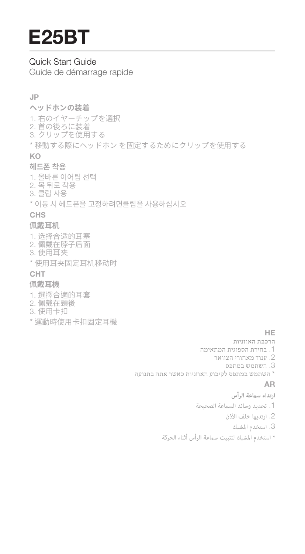# Quick Start Guide

Guide de démarrage rapide

### **JP**

### **ヘッドホンの装着**

1. 右のイヤーチップを選択 2. 首の後ろに装着 3. クリップを使用する \* 移動する際にヘッドホン を固定するためにクリップを使用する

# **KO**

# **헤드폰 착용**

1. 올바른 이어팁 선택 2. 목 뒤로 착용 3. 클립 사용

\* 이동 시 헤드폰을 고정하려면클립을 사용하십시오

# **CHS**

# **佩戴耳机**

1. 选择合适的耳塞 2. 佩戴在脖子后面 3. 使用耳夹 \* 使用耳夹固定耳机移动时

# **CHT**

# **佩戴耳機**

- 1. 選擇合適的耳套
- 2. 佩戴在頸後
- 3. 使用卡扣
- \* 運動時使用卡扣固定耳機

#### **HE**

- **הרכבת האוזניות**
- .1 בחירת הספוגית המתאימה
	- .2 ענוד מאחורי הצוואר
		- .3 השתמש במתפס
- \* השתמש במתפס לקיבוע האוזניות כאשר אתה בתנועה

#### **AR**

- **ارتداء سعة الرأس** 1. تحديد وسائد السماعة الصحيحة .2 ارتديها خلف الأذن
	- .3 استخدم المشبك
- \* استخدم المشبك لتثبيت سعة الرأس أثناء الحركة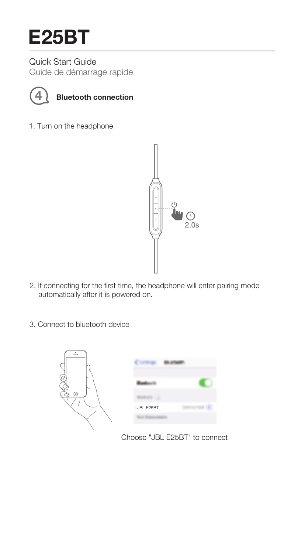Quick Start Guide Guide de démarrage rapide



# **4 Bluetooth connection**

1. Turn on the headphone



- 2. If connecting for the first time, the headphone will enter pairing mode automatically after it is powered on.
- 3. Connect to bluetooth device



Choose "JBL E25BT" to connect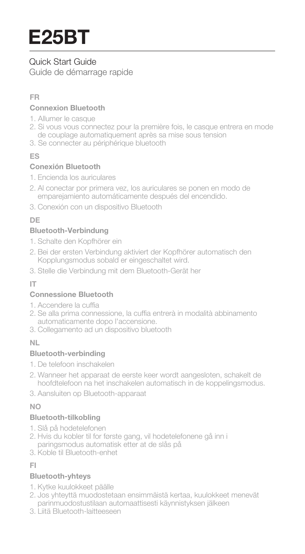# Quick Start Guide

Guide de démarrage rapide

# **FR**

### **Connexion Bluetooth**

- 1. Allumer le casque
- 2. Si vous vous connectez pour la première fois, le casque entrera en mode de couplage automatiquement après sa mise sous tension
- 3. Se connecter au périphérique bluetooth

# **ES**

# **Conexión Bluetooth**

- 1. Encienda los auriculares
- 2. Al conectar por primera vez, los auriculares se ponen en modo de emparejamiento automáticamente después del encendido.
- 3. Conexión con un dispositivo Bluetooth

# **DE**

# **Bluetooth-Verbindung**

- 1. Schalte den Kopfhörer ein
- 2. Bei der ersten Verbindung aktiviert der Kopfhörer automatisch den Kopplungsmodus sobald er eingeschaltet wird.
- 3. Stelle die Verbindung mit dem Bluetooth-Gerät her

# **IT**

# **Connessione Bluetooth**

- 1. Accendere la cuffia
- 2. Se alla prima connessione, la cuffia entrerà in modalità abbinamento automaticamente dopo l'accensione.
- 3. Collegamento ad un dispositivo bluetooth

# **NL**

# **Bluetooth-verbinding**

- 1. De telefoon inschakelen
- 2. Wanneer het apparaat de eerste keer wordt aangesloten, schakelt de hoofdtelefoon na het inschakelen automatisch in de koppelingsmodus.
- 3. Aansluiten op Bluetooth-apparaat

# **NO**

# **Bluetooth-tilkobling**

- 1. Slå på hodetelefonen
- 2. Hvis du kobler til for første gang, vil hodetelefonene gå inn i paringsmodus automatisk etter at de slås på
- 3. Koble til Bluetooth-enhet

# **FI**

# **Bluetooth-yhteys**

- 1. Kytke kuulokkeet päälle
- 2. Jos yhteyttä muodostetaan ensimmäistä kertaa, kuulokkeet menevät parinmuodostustilaan automaattisesti käynnistyksen jälkeen
- 3. Liitä Bluetooth-laitteeseen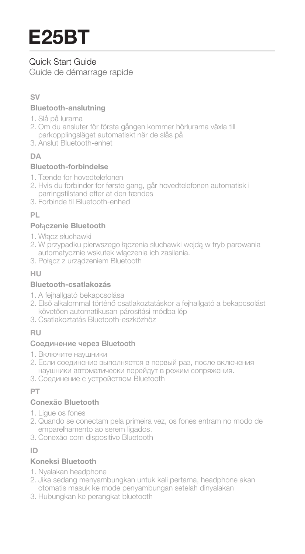# Quick Start Guide

Guide de démarrage rapide

# **SV**

### **Bluetooth-anslutning**

- 1. Slå på lurarna
- 2. Om du ansluter för första gången kommer hörlurarna växla till parkopplingsläget automatiskt när de slås på
- 3. Anslut Bluetooth-enhet

# **DA**

# **Bluetooth-forbindelse**

- 1. Tænde for hovedtelefonen
- 2. Hvis du forbinder for første gang, går hovedtelefonen automatisk i parringstilstand efter at den tændes
- 3. Forbinde til Bluetooth-enhed

# **PL**

# **Poł**ą**czenie Bluetooth**

- 1. Włącz słuchawki
- 2. W przypadku pierwszego łączenia słuchawki wejdą w tryb parowania automatycznie wskutek włączenia ich zasilania.
- 3. Połącz z urządzeniem Bluetooth

# **HU**

# **Bluetooth-csatlakozás**

- 1. A fejhallgató bekapcsolása
- 2. Első alkalommal történő csatlakoztatáskor a fejhallgató a bekapcsolást követően automatikusan párosítási módba lép
- 3. Csatlakoztatás Bluetooth-eszközhöz

# **RU**

# Соединение через Bluetooth

- 1. Включите наушники
- 2. Если соединение выполняется в первый раз, после включения наушники автоматически перейдут в режим сопряжения.
- 3. Соединение с устройством Bluetooth

# **PT**

# **Conexão Bluetooth**

- 1. Ligue os fones
- 2. Quando se conectam pela primeira vez, os fones entram no modo de emparelhamento ao serem ligados.
- 3. Conexão com dispositivo Bluetooth

# **ID**

# **Koneksi Bluetooth**

- 1. Nyalakan headphone
- 2. Jika sedang menyambungkan untuk kali pertama, headphone akan otomatis masuk ke mode penyambungan setelah dinyalakan
- 3. Hubungkan ke perangkat bluetooth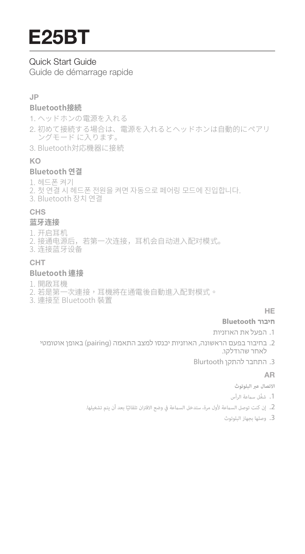# Quick Start Guide

Guide de démarrage rapide

### **JP**

#### **Bluetooth接続**

1. ヘッドホンの電源を入れる

- 2. 初めて接続する場合は、電源を入れるとヘッドホンは自動的にペアリ ングモード に入ります。
- 3. Bluetooth対応機器に接続

### **KO**

#### **Bluetooth 연결**

1. 헤드폰 켜기

- 2. 첫 연결 시 헤드폰 전원을 켜면 자동으로 페어링 모드에 진입합니다.
- 3. Bluetooth 장치 연결

### **CHS**

#### **蓝牙连接**

- 1. 开启耳机
- 2. 接通电源后,若第一次连接,耳机会自动进入配对模式。
- 3. 连接蓝牙设备

# **CHT**

#### **Bluetooth 連接**

- 1. 開啟耳機
- 2. 若是第一次連接,耳機將在通電後自動進入配對模式。
- 3. 連接至 Bluetooth 裝置

#### **HE**

#### **חיבור Bluetooth**

- .1 הפעל את האוזניות
- .2 בחיבור בפעם הראשונה, האוזניות יכנסו למצב התאמה (pairing (באופן אוטומטי לאחר שהודלקו.
	- .3 התחבר להתקן Blurtooth

#### **AR**

- **الاتصال عبر البلوتوث**
- .1 ِّشغل سعة الرأس
- 2. إن كنت توصل السماعة لأول مرة، ستدخل السماعة في وضع الاقتران تلقائيًّا بعد أن يتم تشغيلها.
	- .3 وصلها بجهاز البلوتوث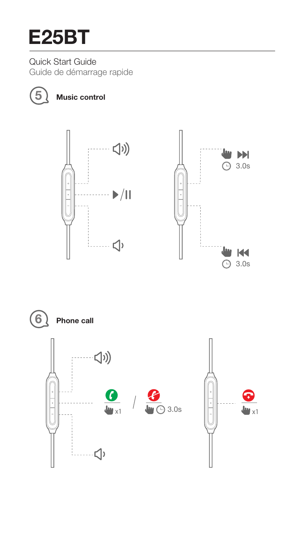Quick Start Guide Guide de démarrage rapide



**5 Music control**



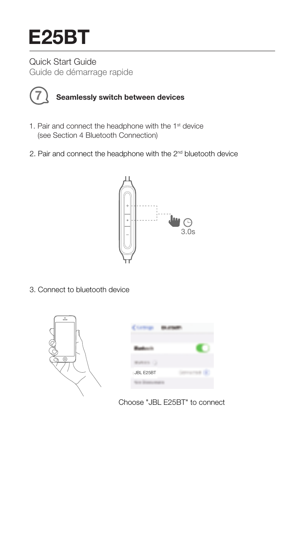Quick Start Guide Guide de démarrage rapide



# **7 Seamlessly switch between devices**

- 1. Pair and connect the headphone with the 1<sup>st</sup> device (see Section 4 Bluetooth Connection)
- 2. Pair and connect the headphone with the 2nd bluetooth device



3. Connect to bluetooth device



| JBL E25BT |  |
|-----------|--|

Choose "JBL E25BT" to connect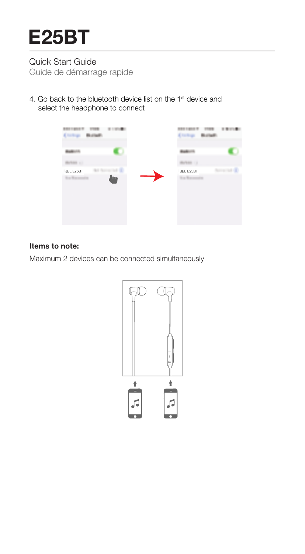# Quick Start Guide Guide de démarrage rapide

4. Go back to the bluetooth device list on the 1<sup>st</sup> device and select the headphone to connect



#### **Items to note:**

Maximum 2 devices can be connected simultaneously

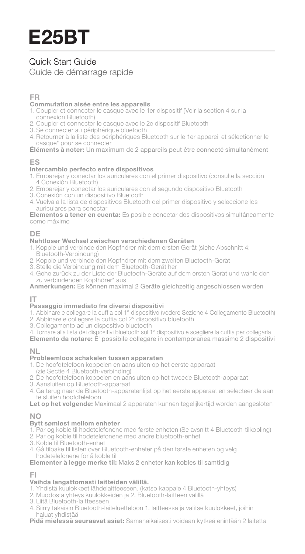# Quick Start Guide Guide de démarrage rapide

#### **FR**

#### **Commutation aisée entre les appareils**

- 1. Coupler et connecter le casque avec le 1er dispositif (Voir la section 4 sur la connexion Bluetooth)
- 2. Coupler et connecter le casque avec le 2e dispositif Bluetooth
- 3. Se connecter au périphérique bluetooth
- 4. Retourner à la liste des périphériques Bluetooth sur le 1er appareil et sélectionner le casque\* pour se connecter

#### **Éléments à noter:** Un maximum de 2 appareils peut être connecté simultanément

#### **ES**

#### **Intercambio perfecto entre dispositivos**

- 1. Emparejar y conectar los auriculares con el primer dispositivo (consulte la sección 4 Conexión Bluetooth)
- 2. Emparejar y conectar los auriculares con el segundo dispositivo Bluetooth
- 3. Conexión con un dispositivo Bluetooth
- 4. Vuelva a la lista de dispositivos Bluetooth del primer dispositivo y seleccione los auriculares para conectar

**Elementos a tener en cuenta:** Es posible conectar dos dispositivos simultáneamente como máximo

#### **DE**

#### **Nahtloser Wechsel zwischen verschiedenen Geräten**

- 1. Kopple und verbinde den Kopfhörer mit dem ersten Gerät (siehe Abschnitt 4: Bluetooth-Verbindung)
- 2. Kopple und verbinde den Kopfhörer mit dem zweiten Bluetooth-Gerät
- 3. Stelle die Verbindung mit dem Bluetooth-Gerät her
- 4. Gehe zurück zu der Liste der Bluetooth-Geräte auf dem ersten Gerät und wähle den zu verbindenden Kopfhörer\* aus

#### **Anmerkungen:** Es können maximal 2 Geräte gleichzeitig angeschlossen werden

#### **IT**

#### **Passaggio immediato fra diversi dispositivi**

- 1. Abbinare e collegare la cuffia col 1° dispositivo (vedere Sezione 4 Collegamento Bluetooth)
- 2. Abbinare e collegare la cuffia col 2° dispositivo bluetooth
- 3. Collegamento ad un dispositivo bluetooth
- 4. Tornare alla lista dei dispositivi bluetooth sul 1° dispositivo e scegliere la cuffia per collegarla

**Elemento da notare:** E' possibile collegare in contemporanea massimo 2 dispositivi

#### **NL**

#### **Probleemloos schakelen tussen apparaten**

- 1. De hoofdtelefoon koppelen en aansluiten op het eerste apparaat
- (zie Sectie 4 Bluetooth-verbinding)
- 2. De hoofdtelefoon koppelen en aansluiten op het tweede Bluetooth-apparaat
- 3. Aansluiten op Bluetooth-apparaat
- 4. Ga terug naar de Bluetooth-apparatenlijst op het eerste apparaat en selecteer de aan te sluiten hoofdtelefoon

**Let op het volgende:** Maximaal 2 apparaten kunnen tegelijkertijd worden aangesloten

#### **NO**

#### **Bytt sømløst mellom enheter**

- 1. Par og koble til hodetelefonene med første enheten (Se avsnitt 4 Bluetooth-tilkobling)
- 2. Par og koble til hodetelefonene med andre bluetooth-enhet
- 3. Koble til Bluetooth-enhet
- 4. Gå tilbake til listen over Bluetooth-enheter på den første enheten og velg hodetelefonene for å koble til

#### **Elementer å legge merke til:** Maks 2 enheter kan kobles til samtidig

#### **FI**

#### **Vaihda langattomasti laitteiden välillä.**

- 1. Yhdistä kuulokkeet lähdelaitteeseen. (katso kappale 4 Bluetooth-yhteys)
- 2. Muodosta yhteys kuulokkeiden ja 2. Bluetooth-laitteen välillä
- 3. Liitä Bluetooth-laitteeseen
- 4. Siirry takaisin Bluetooth-laiteluetteloon 1. laitteessa ja valitse kuulokkeet, joihin haluat yhdistää

**Pidä mielessä seuraavat asiat:** Samanaikaisesti voidaan kytkeä enintään 2 laitetta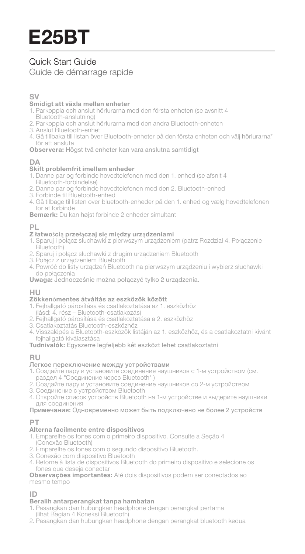# Quick Start Guide Guide de démarrage rapide

#### **SV**

#### **Smidigt att växla mellan enheter**

- 1. Parkoppla och anslut hörlurarna med den första enheten (se avsnitt 4
- Bluetooth-anslutning)
- 2. Parkoppla och anslut hörlurarna med den andra Bluetooth-enheten
- 3. Anslut Bluetooth-enhet
- 4. Gå tillbaka till listan över Bluetooth-enheter på den första enheten och välj hörlurarna\* för att ansluta

**Observera:** Högst två enheter kan vara anslutna samtidigt

#### **Skift problemfrit imellem enheder**

- 1. Danne par og forbinde hovedtelefonen med den 1. enhed (se afsnit 4 Bluetooth-forbindelse)
- 2. Danne par og forbinde hovedtelefonen med den 2. Bluetooth-enhed
- 3. Forbinde til Bluetooth-enhed
- 4. Gå tilbage til listen over bluetooth-enheder på den 1. enhed og vælg hovedtelefonen for at forbinde

**Bemærk:** Du kan højst forbinde 2 enheder simultant

#### **PL**

#### **Z łatwo**ś**ci**ą **przeł**ą**czaj si**ę **mi**ę**dzy urz**ą**dzeniami**

- 1. Sparuj i połącz słuchawki z pierwszym urządzeniem (patrz Rozdział 4. Połączenie Bluetooth)
- 2. Sparuj i połącz słuchawki z drugim urządzeniem Bluetooth
- 3. Połącz z urządzeniem Bluetooth
- 4. Powróć do listy urządzeń Bluetooth na pierwszym urządzeniu i wybierz słuchawki do połączenia

**Uwaga:** Jednocześnie można połączyć tylko 2 urządzenia.

#### **HU**

#### **Zökken**ő**mentes átváltás az eszközök között**

- 1. Fejhallgató párosítása és csatlakoztatása az 1. eszközhöz
- (lásd: 4. rész Bluetooth-csatlakozás)
- 2. Fejhallgató párosítása és csatlakoztatása a 2. eszközhöz
- 3. Csatlakoztatás Bluetooth-eszközhöz
- 4. Visszalépés a Bluetooth-eszközök listáján az 1. eszközhöz, és a csatlakoztatni kívánt fejhallgató kiválasztása
- **Tudnivalók:** Egyszerre legfeljebb két eszközt lehet csatlakoztatni

#### **RU**

#### Легкое переключение между устройствами

- 1. Создайте пару и установите соединение наушников с 1-м устройством (см.
- раздел 4 "Соединение через Bluetooth" ) 2. Создайте пару и установите соединение наушников со 2-м устройством
- 3. Соединение с устройством Bluetooth
- 4. Откройте список устройств Bluetooth на 1-м устройстве и выдерите наушники для соединения

Примечания: Одновременно может быть подключено не более 2 устройств

#### **PT**

#### **Alterna facilmente entre dispositivos**

- 1. Emparelhe os fones com o primeiro dispositivo. Consulte a Seção 4 (Conexão Bluetooth)
- 2. Emparelhe os fones com o segundo dispositivo Bluetooth.
- 3. Conexão com dispositivo Bluetooth
- 4. Retorne à lista de dispositivos Bluetooth do primeiro dispositivo e selecione os fones que deseja conectar

**Observações importantes:** Até dois dispositivos podem ser conectados ao mesmo tempo

#### **ID**

#### **Beralih antarperangkat tanpa hambatan**

- 1. Pasangkan dan hubungkan headphone dengan perangkat pertama (lihat Bagian 4 Koneksi Bluetooth)
- 2. Pasangkan dan hubungkan headphone dengan perangkat bluetooth kedua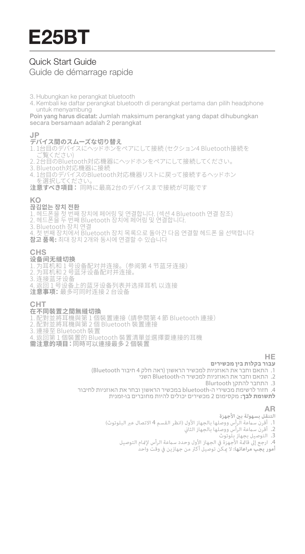# Quick Start Guide Guide de démarrage rapide

- 3. Hubungkan ke perangkat bluetooth
- 4. Kembali ke daftar perangkat bluetooth di perangkat pertama dan pilih headphone untuk menyambung

Poin yang harus dicatat: Jumlah maksimum perangkat yang dapat dihubungkan secara bersamaan adalah 2 perangkat

# **JP**

- **デバイス間のスムーズな切り替え** 1. 1台目のデバイスにヘッドホンをペアにして接続 (セクション4 Bluetooth接続を - ご覧ください)<br>2.2台目のBluetooth対応機器にヘッドホンをペアにして接続してください。
- 
- 
- 2. 2台目のBluetooth対応機器のペットホンをベアにして接続するヘッドホン<br>3. Bluetooth対応機器に接続<br>4. 1台目のデバイスのBluetooth対応機器リストに戻って接続するヘッドホン<br>、を選択してください。
- **注意すべき項目:** 同時に最高2台のデバイスまで接続が可能です

#### **KO**

#### **끊김없는 장치 전환**

- 1. 헤드폰을 첫 번째 장치에 페어링 및 연결합니다. (섹션 4 Bluetooth 연결 참조)
- :<br>2. 헤드폰을 두 번째 Bluetooth 장치에 페어링 및 연결합니다.<br>3. Bluetooth 장치 연결
- 
- 3. Bluetooth 장치 연결 4. 첫 번째 장치에서 Bluetooth 장치 목록으로 돌아간 다음 연결할 헤드폰 을 선택합니다
- **참고 품목:** 최대 장치 2개와 동시에 연결할 수 있습니다

# **CHS**

- **炫育同无缝切换**<br>**区有同无缝切换**<br>1. 为耳机和 2 号篮牙设备配对并连接。<br>3. 连接蓝牙设备<br>3. 连接面子:最多可同时连接 2 台设备<br>**注意事项:**最多可同时连接 2 台设备
- 
- 
- 
- 

# **CHT**

- **在不同裝置之間無縫切探**<br>1. 配對並將耳機與第 1 個裝置連接 (請參閱第 4 節 Bluetooth 連接)<br>2. 配對並將耳機與第 2 個 Bluetooth 裝置連接
- 
- 3. 連接至 Bluetooth 裝置
- . 运设士 3.35.33.33.35<br>. 返回第 1 個裝置的 Bluetooth 裝置清單並選擇要連接的耳機
- **需注意的項目:**同時可以連接最多 2 個裝置

# **עבור בקלות בין מכשירים HE**

- .1 התאם וחבר את האוזניות למכשיר הראשון (ראה חלק 4 חיבור Bluetooth(
	- .2 התאם וחבר את האוזניות למכשיר ה-Bluetooth השני
		- .3 התחבר להתקן Blurtooth
- .4 חזור לרשימת מכשירי ה-bluetooth במכשיר הראשון ובחר את האוזניות לחיבור **לתשומת לבך:** מקסימום 2 מכשירים יכולים להיות מחוברים בו-זמנית

- **AR**<br>التنقل بس**مهولة** بين الأجهزة<br>1. أقرن سماعة الرأس ووصلها بالجهاز الأول (انظر القسم 4 الاتصال عبر البلوتوث)<br>2. أقرن سماعة الرأس ووصلها بالجهاز الثاني
	- - .3 التوصيل بجهاز بلوتوث
	- 4. ارجع إلى قاعُـةٌ الأجهزة في الجهاز الأول وحدد سماعة الرأس لإعّام التوصيل
		- .<br>**أمور يجب مراعاتها:** لا مكن توصيل أك<del>ث</del>ر من جهازين في وقت واحد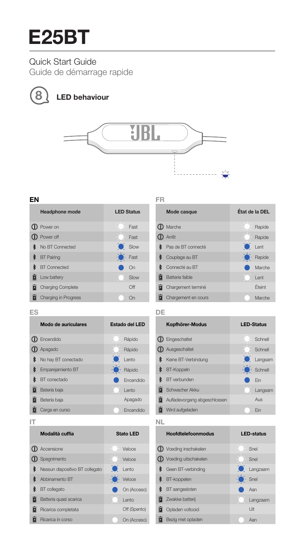# Quick Start Guide

Guide de démarrage rapide



# **8 LED behaviour**



#### **EN**

| <b>Headphone mode</b> | <b>LED Status</b> |                |
|-----------------------|-------------------|----------------|
| <b>D</b> Power on     |                   | Fast           |
| <b>D</b> Power off    |                   | Fast           |
| No BT Connected       |                   | $\bullet$ Slow |
| <b>\$</b> BT Pairing  | $\cdot$           | Fast           |
| <b>8</b> BT Connected |                   | On             |
| <b>D</b> Low battery  |                   | Slow           |
| Charging Complete     |                   | Off            |
| Charging in Progress  |                   | Ωn             |

# **FR**

| Mode casque              | État de la DEL |        |
|--------------------------|----------------|--------|
| <b>ID</b> Marche         |                | Rapide |
| <b>D</b> Arrêt           |                | Rapide |
| Pas de BT connecté       | $\bullet$ Lent |        |
| Couplage au BT           | $\cdot$        | Rapide |
| Connecté au BT           |                | Marche |
| <b>D</b> Batterie faible |                | I ent  |
| Chargement terminé       |                | Éteint |
| Chargement en cours      |                | Marche |

#### **ES**

| Modo de auriculares   |           | Estado del LED |
|-----------------------|-----------|----------------|
| $\mathbf 0$ Encendido |           | Rápido         |
| $\n  Op$ Apagado      |           | Rápido         |
| No hay BT conectado   | $\bullet$ | Lento          |
| Empareiamiento BT     | ۰O        | Rápido         |
| BT conectado          |           | Encendido      |
| Batería baja          |           | I ento         |
| Betería baja          |           | Apagado        |
| Carga en curso        |           | Encendido      |

# **DE**

| Kopfhörer-Modus              | <b>LED-Status</b> |
|------------------------------|-------------------|
| $\Phi$ Eingeschaltet         | Schnell           |
| <b>D</b> Ausgeschaltet       | Schnell           |
| <b>*</b> Keine BT-Verbindung | Langsam           |
| <b>多</b> BT-Koppeln          | $\cdot$ Schnell   |
| <b>&amp;</b> BT verbunden    | Fin               |
| Schwacher Akku               | Langsam           |
| Aufladevorgang abgeschlossen | Aus               |
| Wird aufgeladen              | Fin               |
|                              |                   |

#### **IT**

| Modalità cuffia                 | Stato LED      |
|---------------------------------|----------------|
| <b>D</b> Accensione             | Veloce         |
| <b>D</b> Spegnimento            | Veloce         |
| Nessun dispositivo BT collegato | <b>C</b> Lento |
| <b>&amp;</b> Abbinamento BT     | Veloce         |
| <b>8</b> BT collegato           | On (Acceso)    |
| Batteria quasi scarica          | I ento         |
| Ricarica completata             | Off (Spento)   |
| Ricarica in corso               | On (Acceso)    |

#### **NL**

| Hoofdtelefoonmodus              |              | <b>LED-status</b> |
|---------------------------------|--------------|-------------------|
| $\mathbf 0$ Voeding inschakelen |              | Snel              |
| $\Phi$ Voeding uitschakelen     |              | Snel              |
| S Geen BT-verbinding            |              | <b>C</b> Langzaam |
| <b>\$</b> BT-koppelen           | $\cdot$ Snel |                   |
| <b>8</b> BT aangesloten         |              | Aan               |
| <b>d</b> Zwakke batterii        |              | Langzaam          |
| Opladen voltooid                |              | Uit               |
| Bezig met opladen               |              | Aan               |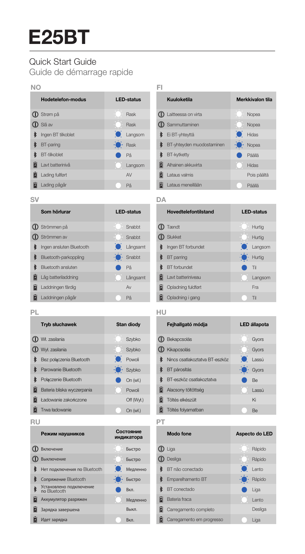# Quick Start Guide

Guide de démarrage rapide

| NΩ |                          |                       |   |
|----|--------------------------|-----------------------|---|
|    | <b>Hodetelefon-modus</b> | <b>LED-status</b>     |   |
|    | <b>1</b> Strem på        | Rask                  | đ |
|    | <b>D</b> Slå av          | Rask                  | đ |
| ≹  | Ingen BT tilkoblet       | $\bullet$ Langsom     | ₿ |
| R  | BT-paring                | $\ddot{\bullet}$ Rask | ₿ |
| ≹  | BT-tilkoblet             | På                    | ≹ |
|    | Lavt batterinivå         | Langsom               | Ō |
|    | Lading fullfert          | AV                    | Ď |
|    | Lading pågår             | På                    |   |

#### BT-yhteyden muodostaminen Ei BT-yhteyttä BT-kytketty Päällä Hidas · Nopea **C** Sammuttaminen Laitteessa on virta **Kuuloketila** Merkkivalon tila **D** Alhainen akkuvirta Nopea Nopea **Lataus valmis Lataus meneillään** Päällä Pois päältä

**Hovedtelefontilstand LED-status**

Langsom Hurtig

Hurtig Hurtig

Langsom

Fra

**SV**

|    | Som hörlurar             |     | <b>LED-status</b> |
|----|--------------------------|-----|-------------------|
|    | <b>D</b> Strömmen på     |     | Snabht            |
|    | <b>1</b> Strömmen av     |     | Snabht            |
| ł  | Ingen ansluten Bluetooth |     | <b>C</b> Långsamt |
| ≹  | Bluetooth-parkoppling    | ÷o. | Snabbt            |
| ł. | Bluetooth ansluten       |     | På                |
|    | Låg batteriladdning      |     | Långsamt          |
|    | Laddningen färdig        |     | Av                |
|    | Laddningen pågår         |     | På                |

|    | <b>ID</b> Slukket           | H            |
|----|-----------------------------|--------------|
| Ŷ. | Ingen BT forbundet          | Ŀ            |
|    | <b>\$</b> BT parring        | $\mathbf{H}$ |
|    | <b>8</b> BT forbundet       | Tì           |
|    | <b>E</b> Lavt batteriniveau | ء ا          |
|    | Opladning fuldført          | Fr           |

**Opladning i gang** Til

**PL**

| <b>Tryb słuchawek</b>         |           | <b>Stan diodv</b> |
|-------------------------------|-----------|-------------------|
| <b>1</b> Wł. zasilania        |           | Szybko            |
| <b>D</b> Wyl. zasilania       |           | Szybko            |
| Bez połączenia Bluetooth      | $\bullet$ | Powoli            |
| <b>8</b> Parowanie Bluetooth  |           | Szybko            |
| <b>*</b> Połaczenie Bluetooth |           | On (wt.)          |
| Bateria bliska wyczerpania    |           | Powoli            |
| Ładowanie zakończone          |           | Off (Wvt.)        |
| Trwa ładowanie                |           | On (wt.)          |

#### **RU**

|   | Режим наушников                         |           | Состояние<br>индикатора |
|---|-----------------------------------------|-----------|-------------------------|
| a | Включение                               |           | Быстро                  |
|   | <b>D</b> Выключение                     |           | Быстро                  |
| R | Нет подключения по Bluetooth            | $\bullet$ | Медленно                |
| ≹ | Conpяжение Bluetooth                    |           | Быстро                  |
|   | Установлено подключение<br>no Bluetooth |           | Вкл.                    |
|   | Аккумулятор разряжен                    |           | Медленно                |
|   | Зарядка завершена                       |           | <b>Выкл.</b>            |
|   | Идет зарядка                            |           | R <sub>Kn</sub>         |

#### **HU**

<sup>Tændt</sup>

**DA**

|               | Feihallgató módia                       | <b>LED állapota</b>         |  |
|---------------|-----------------------------------------|-----------------------------|--|
|               | $\mathbf D$ Bekapcsolás                 | Gvors                       |  |
|               | <b>D</b> Kikapcsolás                    | Gvors                       |  |
|               | <b>8</b> Nincs csatlakoztatva BT-eszköz | <b>O</b> Lassú              |  |
| $\frac{1}{6}$ | BT párosítás                            | $\cdot \bullet \cdot$ Gyors |  |
|               | <b>8</b> BT-eszköz csatlakoztatva       | <b>Be</b>                   |  |
|               | Alacsony töltöttség                     | Lassú                       |  |
| Ħ             | Töltés elkészült                        | Kì                          |  |
| ū             | Töltés folvamatban                      | Be                          |  |
|               |                                         |                             |  |

**PT**

Emparelhamento BT BT não conectado **\$** BT conectado Liga Lento Rápido **D** Desliga **D** Liga **Modo fone** Aspecto do LED Bateria fraca **Lento** Lento Rápido Rápido Carregamento completo Carregamento em progresso **Liga** Desliga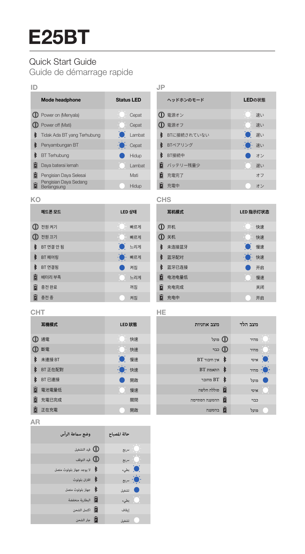# Quick Start Guide

Guide de démarrage rapide

| ID |                                      |                   |   |
|----|--------------------------------------|-------------------|---|
|    | <b>Mode headphone</b>                | <b>Status LED</b> |   |
|    | <b>D</b> Power on (Menyala)          | Cepat             | D |
|    | <b>CD</b> Power off (Mati)           | Cepat             |   |
|    | Tidak Ada BT vang Terhubung          | <b>C</b> Lambat   |   |
|    | Penvambungan BT                      | Cepat             | ł |
|    | BT Terhubung                         | Hidup             | ł |
|    | Dava baterai lemah                   | Lambat            | Ы |
|    | Pengisian Daya Selesai               | Mati              | ū |
|    | Pengisian Daya Sedang<br>Berlangsung | Hidup             |   |

| ヘッドホンのモード     |       | LEDの状態 |
|---------------|-------|--------|
| 1 電源オン        |       | 速い     |
| <b>1 電源オフ</b> |       | 速い     |
| 多 BTに接続されていない | ● 遅い  |        |
| ₿ BTペアリング     | •● 速い |        |
| ₿ BT接続中       |       | オン     |
| ■ バッテリー残量少    |       | 遅い     |
| ■ 充電完了        |       | オフ     |
| 充電中           |       | オン     |
|               |       |        |

#### **KO**

|   | 헤드폰 모드             | LED 상태    |     |
|---|--------------------|-----------|-----|
|   | $\mathbf{0}$ 전원 켜기 |           | 빠르게 |
|   | $\Phi$ 전원 끄기       |           | 빠르게 |
| ł | BT 연결 안 됨          | $\bullet$ | 느리게 |
| 老 | BT페어링              |           | 빠르게 |
| k | BT 연결됨             |           | 켜질  |
| ū | 배터리 부족             |           | 느리게 |
| â | 충전완료               |           | 꺼질  |
|   | 충전중                |           | 켜질  |

|   | 耳机模式        | LED 指示灯状态 |
|---|-------------|-----------|
|   | <b>① 开机</b> | 快速        |
|   | <b>① 关机</b> | 快速        |
|   | 多 未连接蓝牙     | ۰<br>慢速   |
|   | * 蓝牙配对      | ÷o.<br>快速 |
| ¥ | 蓝牙已连接       | 开启        |
|   | 2 电池电量低     | 慢速        |
|   | ■ 充电完成      | 关闭        |
|   | 日 充电中       | 开启        |

### **CHT**

|   | 耳機模式    | LED 狀態          |
|---|---------|-----------------|
|   | 1 通電    | 快速              |
|   | 10 断電   | 快速              |
| 老 | 未連接 BT  | $\bullet$<br>慢速 |
| k | BT 正在配對 | 快速              |
| 攴 | BT 已連接  | 開啟              |
|   | 電池電量低   | 慢速              |
|   | 日 充電已完成 | 照明              |
|   | 正在充電    | 開啟              |

# **HE**

**CHS**

| מצב אחניות              | מצב הלד           |
|-------------------------|-------------------|
| <b>D</b> פועל           | מהיר              |
| יבוי CD                 | מהיר              |
| ≸ אין חיבור BT          | <b>DE NOTE</b>    |
| $BT$ $nnm$ $\&$         | $\n  one \bullet$ |
| BT \$                   | פועל              |
| avbn node a             | איטי              |
| <b>E</b> ההסענה הסתיימה | כבוי              |
| <b>E</b>                | פוטל              |

# **AR**

| وضع سماعة الرأس             | حالة المصباح          |
|-----------------------------|-----------------------|
| <b>4)</b> قيد التشغيل       | ا - <sub>ا</sub> مريع |
| <b>4)</b> قيد التوقف        | () مربع               |
| ﴿ لا يوجد جهاز بلوتوث متصل  | ِ في المسلمان.<br>ا   |
| ∲   اقتران بلوتوث           | :⊜ س                  |
| .<br>♦     جهاز بلوتوث متصل | ● تشغيل               |
| ■ البطارية متخفضة           | .<br>ابتغالي»         |
| .<br>■ اكتمل الشحن          | إيقاف                 |
| .<br>■ جار الشحن            | تشغيل                 |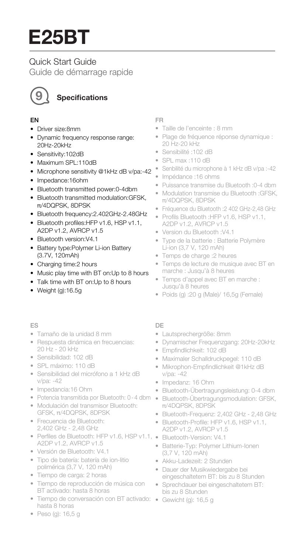# Quick Start Guide

Guide de démarrage rapide



# **9 Specications**

#### EN

- Driver size:8mm
- Dynamic frequency response range: 20Hz-20kHz
- Sensitivity:102dB
- Maximum SPL:110dB
- Microphone sensitivity @1kHz dB v/pa:-42
- Impedance:16ohm
- Bluetooth transmitted power:0-4dbm
- Bluetooth transmitted modulation:GFSK, π/4DQPSK, 8DPSK
- Bluetooth frequency:2.402GHz-2.48GHz
- Bluetooth profiles:HFP v1.6, HSP v1.1, A2DP v1.2, AVRCP v1.5
- Bluetooth version:V4.1
- Battery type:Polymer Li-ion Battery (3.7V, 120mAh)
- Charging time:2 hours
- Music play time with BT on:Up to 8 hours
- Talk time with BT on:Up to 8 hours
- Weight (g):16.5g

#### ES

- Tamaño de la unidad 8 mm
- Respuesta dinámica en frecuencias: 20 Hz - 20 kHz
- Sensibilidad: 102 dB
- SPL máximo: 110 dB
- Sensibilidad del micrófono a 1 kHz dB v/pa: -42
- Impedancia:16 Ohm
- Potencia transmitida por Bluetooth: 0-4 dbm
- Modulación del transmisor Bluetooth: GFSK, π/4DQPSK, 8DPSK
- Frecuencia de Bluetooth: 2,402 GHz - 2,48 GHz
- Perfiles de Bluetooth: HFP v1.6, HSP v1.1, Bluetooth-Version: V4.1 A2DP v1.2, AVRCP v1.5
- Versión de Bluetooth: V4.1
- Tipo de batería: batería de ion-litio polimérica (3,7 V, 120 mAh)
- Tiempo de carga: 2 horas
- Tiempo de reproducción de música con BT activado: hasta 8 horas
- Tiempo de conversación con BT activado: Gewicht (g): 16,5 g hasta 8 horas

#### FR

- Taille de l'enceinte : 8 mm
- Plage de fréquence réponse dynamique : 20 Hz-20 kHz
- Sensibilité :102 dB
- SPL max :110 dB
- Senbilité du microphone à 1 kHz dB v/pa :-42
- Impédance :16 ohms
- Puissance transmise du Bluetooth :0-4 dbm
- Modulation transmise du Bluetooth :GFSK, π/4DQPSK, 8DPSK
- Fréquence du Bluetooth :2 402 GHz-2,48 GHz
- Profils Bluetooth :HFP v1.6, HSP v1.1, A2DP v1.2, AVRCP v1.5
- Version du Bluetooth :V4.1
- Type de la batterie : Batterie Polymère Li-ion (3,7 V, 120 mAh)
- Temps de charge :2 heures
- Temps de lecture de musique avec BT en marche : Jusqu'à 8 heures
- Temps d'appel avec BT en marche : Jusqu'à 8 heures
- Poids (g) :20 g (Male)/ 16,5g (Female)

#### DE

- Lautsprechergröße: 8mm
- Dynamischer Frequenzgang: 20Hz-20kHz
- Empfindlichkeit: 102 dB
- Maximaler Schalldruckpegel: 110 dB
- Mikrophon-Empfindlichkeit @1kHz dB v/pa: -42
- Impedanz: 16 Ohm
- Bluetooth-Übertragungsleistung: 0-4 dbm
- Bluetooth-Übertragungsmodulation: GFSK, π/4DQPSK, 8DPSK
- Bluetooth-Frequenz: 2,402 GHz 2,48 GHz
- Bluetooth-Profile: HFP v1.6, HSP v1.1, A2DP v1.2, AVRCP v1.5
- 
- Batterie-Typ: Polymer Lithium-Ionen (3,7 V, 120 mAh)
- Akku-Ladezeit: 2 Stunden
- Dauer der Musikwiedergabe bei eingeschaltetem BT: bis zu 8 Stunden
- Sprechdauer bei eingeschaltetem BT: bis zu 8 Stunden
- 

• Peso (g): 16,5 g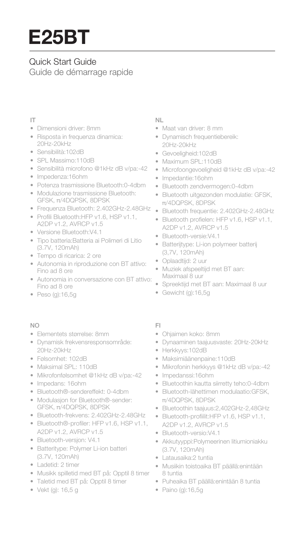# Quick Start Guide

Guide de démarrage rapide

#### IT

- Dimensioni driver: 8mm
- Risposta in frequenza dinamica: 20Hz-20kHz
- Sensibilità:102dB
- SPL Massimo:110dB
- Sensibilità microfono @1kHz dB v/pa:-42
- Impedenza:16ohm
- Potenza trasmissione Bluetooth:0-4dbm
- Modulazione trasmissione Bluetooth: GFSK, π/4DQPSK, 8DPSK
- Frequenza Bluetooth: 2.402GHz-2.48GHz
- Profili Bluetooth:HFP v1.6, HSP v1.1, A2DP v1.2, AVRCP v1.5
- Versione Bluetooth:V4.1
- Tipo batteria:Batteria ai Polimeri di Litio (3.7V, 120mAh)
- Tempo di ricarica: 2 ore
- Autonomia in riproduzione con BT attivo: Fino ad 8 ore
- Autonomia in conversazione con BT attivo: Fino ad 8 ore
- Peso (g):16,5g

#### NO

- Elementets størrelse: 8mm
- Dynamisk frekvensresponsområde: 20Hz-20kHz
- Følsomhet: 102dB
- Maksimal SPL: 110dB
- Mikrofonfølsomhet @1kHz dB v/pa:-42
- Impedans: 16ohm
- Bluetooth®-sendereffekt: 0-4dbm
- Modulasjon for Bluetooth®-sender: GFSK, π/4DQPSK, 8DPSK
- Bluetooth-frekvens: 2.402GHz-2.48GHz
- Bluetooth®-profiler: HFP v1.6, HSP v1.1, A2DP v1.2, AVRCP v1.5
- Bluetooth-versjon: V4.1
- Batteritype: Polymer Li-ion batteri (3.7V, 120mAh)
- Ladetid: 2 timer
- Musikk spilletid med BT på: Opptil 8 timer
- Taletid med BT på: Opptil 8 timer
- Vekt (g): 16,5 g

#### NL

- Maat van driver: 8 mm
- Dynamisch frequentiebereik: 20Hz-20kHz
- Gevoeligheid:102dB
- Maximum SPL:110dB
- Microfoongevoeligheid @1kHz dB v/pa:-42
- Impedantie:16ohm
- Bluetooth zendvermogen:0-4dbm
- Bluetooth uitgezonden modulatie: GFSK, π/4DQPSK, 8DPSK
- Bluetooth frequentie: 2.402GHz-2.48GHz
- Bluetooth profielen: HFP v1.6, HSP v1.1, A2DP v1.2, AVRCP v1.5
- Bluetooth-versie:V4.1
- Batterijtype: Li-ion polymeer batterij (3,7V, 120mAh)
- Oplaadtijd: 2 uur
- Muziek afspeeltijd met BT aan: Maximaal 8 uur
- Spreektijd met BT aan: Maximaal 8 uur
- Gewicht (g):16,5g

#### FI

- Ohjaimen koko: 8mm
- Dynaaminen taajuusvaste: 20Hz-20kHz
- Herkkyys:102dB
- Maksimiäänenpaine:110dB
- Mikrofonin herkkyys @1kHz dB v/pa:-42
- Impedanssi:16ohm
- Bluetoothin kautta siirretty teho:0-4dbm
- Bluetooth-lähettimen modulaatio:GFSK, π/4DQPSK, 8DPSK
- Bluetoothin taajuus:2,402GHz-2,48GHz
- Bluetooth-profiilit:HFP v1.6, HSP v1.1, A2DP v1.2, AVRCP v1.5
- Bluetooth-versio:V4.1
- Akkutyyppi:Polymeerinen litiumioniakku (3.7V, 120mAh)
- Latausaika:2 tuntia
- Musiikin toistoaika BT päällä:enintään 8 tuntia
- Puheaika BT päällä:enintään 8 tuntia
- Paino (g):16,5g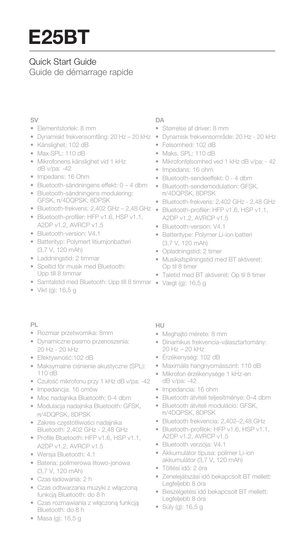# Quick Start Guide

Guide de démarrage rapide

#### SV

- Elementstorlek: 8 mm
- Dynamiskt frekvensomfång: 20 Hz 20 kHz
- Känslighet: 102 dB
- Max SPL: 110 dB
- Mikrofonens känslighet vid 1 kHz dB v/pa: -42
- Impedans: 16 Ohm
- Bluetooth-sändningens effekt: 0 4 dbm
- Bluetooth-sändningens modulering: GFSK, π/4DQPSK, 8DPSK
- Bluetooth-frekvens: 2,402 GHz 2,48 GHz
- Bluetooth-profiler: HFP v1.6, HSP v1.1, A2DP v1.2, AVRCP v1.5
- Bluetooth-version: V4.1
- Batterityp: Polymert litiumjonbatteri (3,7 V, 120 mAh)
- Laddningstid: 2 timmar
- Speltid för musik med Bluetooth: Upp till 8 timmar
- Samtalstid med Bluetooth: Upp till 8 timmar Vægt (g): 16,5 g
- Vikt (g): 16,5 g

#### PL

- Rozmiar przetwornika: 8mm
- Dynamiczne pasmo przenoszenia: 20 Hz - 20 kHz
- Efektywność:102 dB
- Maksymalne ciśnienie akustyczne (SPL): 110 dB
- Czułość mikrofonu przy 1 kHz dB v/pa: -42
- Impedancja: 16 omów
- Moc nadajnika Bluetooth: 0-4 dbm
- Modulacja nadajnika Bluetooth: GFSK, π/4DQPSK, 8DPSK
- Zakres częstotliwości nadajnika Bluetooth: 2,402 GHz - 2,48 GHz
- Profile Bluetooth: HFP v1.6, HSP v1.1, A2DP v1.2, AVRCP v1.5
- Wersja Bluetooth: 4.1
- Bateria: polimerowa litowo-jonowa (3,7 V, 120 mAh)
- Czas ładowania: 2 h
- Czas odtwarzania muzyki z włączoną funkcją Bluetooth: do 8 h
- Czas rozmawiania z włączoną funkcją Bluetooth: do 8 h
- Masa (g): 16,5 g

#### $\Box$  $\Delta$

- Størrelse af driver: 8 mm
- Dynamisk frekvensområde: 20 Hz 20 kHz
- Følsomhed: 102 dB
- Maks. SPL: 110 dB
- Mikrofonfølsomhed ved 1 kHz dB v/pa: 42
- Impedans: 16 ohm
- Bluetooth-sendeeffekt: 0 4 dbm
- Bluetooth-sendemodulation: GFSK, π/4DQPSK, 8DPSK
- Bluetooth-frekvens: 2,402 GHz 2,48 GHz
- Bluetooth-profiler: HFP v1.6, HSP v1.1, A2DP v1.2, AVRCP v1.5
- Bluetooth-version: V4.1
- Batteritype: Polymer Li-ion batteri (3,7 V, 120 mAh)
- Opladningstid: 2 timer
- Musikafspilningstid med BT aktiveret: Op til 8 timer
- Taletid med BT aktiveret: Op til 8 timer
- 

#### HU

- Meghajtó mérete: 8 mm
- Dinamikus frekvencia-választartomány: 20 Hz – 20 kHz
- Érzékenység: 102 dB
- Maximális hangnyomásszint: 110 dB
- Mikrofon érzékenysége 1 kHz-en dB v/pa: -42
- Impedancia: 16 ohm
- Bluetooth átviteli teljesítménye: 0–4 dbm
- Bluetooth átviteli moduláció: GFSK, π/4DQPSK, 8DPSK
- Bluetooth frekvencia: 2,402–2,48 GHz
- Bluetooth-profilok: HFP v1.6, HSP v1.1, A2DP v1.2, AVRCP v1.5
- Bluetooth verziója: V4.1
- Akkumulátor típusa: polimer Li-ion akkumulátor (3,7 V, 120 mAh)
- Töltési idő: 2 óra
- Zenelejátszási idő bekapcsolt BT mellett: Legfeljebb 8 óra
- Beszélgetési idő bekapcsolt BT mellett: Legfeljebb 8 óra
- Súly (g): 16,5 g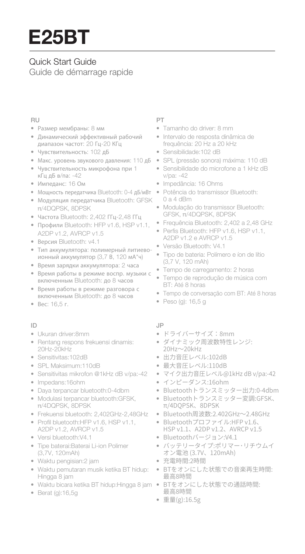# Quick Start Guide Guide de démarrage rapide

#### RU

- Размер мембраны: 8 мм
- Динамический эффективный рабочий диапазон частот: 20 Гц-20 КГц
- Чувствительность: 102 дБ
- Макс. уровень звукового давления: 110 дБ
- Чувствительность микрофона при 1 кГц дБ в/па: -42
- Импеданс: 16 Ом
- Мощность передатчика Bluetooth: 0-4 дБ/мВт • Модуляция передатчика Bluetooth: GFSK
- π/4DQPSK, 8DPSK
- Частота Bluetooth: 2,402 ГГц-2,48 ГГц
- Профили Bluetooth: HFP v1.6, HSP v1.1, A2DP v1.2, AVRCP v1.5
- Версия Bluetooth: v4.1
- Тип аккумулятора: полимерный литиевоионный аккумулятор (3,7 В, 120 мА\*ч)
- Время зарядки аккумулятора: 2 часа
- Время работы в режиме воспр. музыки с включенным Bluetooth: до 8 часов
- Время работы в режиме разговора с включенным Bluetooth: до 8 часов
- Вес: 16,5 г.

#### ID

- Ukuran driver:8mm
- Rentang respons frekuensi dinamis: 20Hz-20kHz
- Sensitivitas: 102dB
- SPL Maksimum:110dB
- Sensitivitas mikrofon @1kHz dB v/pa:-42
- Impedans:16ohm
- Daya terpancar bluetooth:0-4dbm
- Modulasi terpancar bluetooth:GFSK, π/4DQPSK, 8DPSK
- Frekuensi bluetooth: 2,402GHz-2,48GHz
- Profil bluetooth:HFP v1.6, HSP v1.1, A2DP v1.2, AVRCP v1.5
- Versi bluetooth:V4.1
- Tipe baterai:Baterai Li-ion Polimer (3,7V, 120mAh)
- Waktu pengisian:2 jam
- Waktu pemutaran musik ketika BT hidup: Hingga 8 jam
- Waktu bicara ketika BT hidup:Hingga 8 jam
- Berat (g):16,5g

#### PT

- Tamanho do driver: 8 mm
- Intervalo de resposta dinâmica de frequência: 20 Hz a 20 kHz
- Sensibilidade:102 dB
- SPL (pressão sonora) máxima: 110 dB
- Sensibilidade do microfone a 1 kHz dB v/pa: -42
- Impedância: 16 Ohms
- Potência do transmissor Bluetooth: 0 a 4 dBm
- Modulação do transmissor Bluetooth: GFSK, π/4DQPSK, 8DPSK
- Frequência Bluetooth: 2,402 a 2,48 GHz
- Perfis Bluetooth: HFP v1.6, HSP v1.1, A2DP v1.2 e AVRCP v1.5
- Versão Bluetooth: V4.1
- Tipo de bateria: Polímero e íon de lítio (3,7 V, 120 mAh)
- Tempo de carregamento: 2 horas
- Tempo de reprodução de música com BT: Até 8 horas
- Tempo de conversação com BT: Até 8 horas
- Peso (g): 16,5 g

#### JP

- ドライバーサイズ:8mm
- ダイナミック周波数特性レンジ: 20Hz~20kHz
- 出力音圧レベル:102dB
- 最大音圧レベル:110dB
- マイク出力音圧レベル@1kHz dB v/pa:-42
- インピーダンス:16ohm
- Bluetoothトランスミッター出力:0-4dbm
- Bluetoothトランスミッター変調:GFSK、 π/4DQPSK、8DPSK
- Bluetooth周波数:2.402GHz~2.48GHz
- Bluetoothプロファイル:HFP v1.6、 HSP v1.1、A2DP v1.2、AVRCP v1.5
- Bluetoothバージョン:V4.1
- バッテリータイプ:ポリマー・リチウムイ オン電池 (3.7V、120mAh)
- 充電時間:2時間
- BTをオンにした状態での音楽再生時間: 最高8時間
- BTをオンにした状態での通話時間: 最高8時間
- 重量(g):16.5g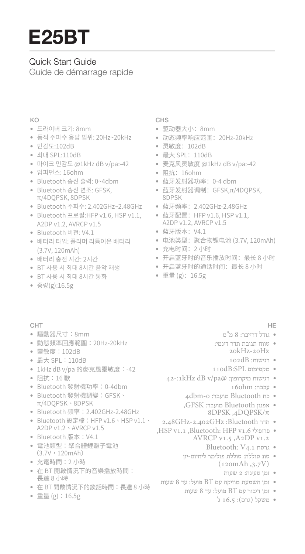# Quick Start Guide

Guide de démarrage rapide

#### KO

- 드라이버 크기: 8mm
- 동적 주파수 응답 범위: 20Hz~20kHz
- 민감도:102dB
- 최대 SPL:110dB
- 마이크 민감도 @1kHz dB v/pa:-42
- 임피던스: 16ohm
- Bluetooth 송신 출력: 0~4dbm
- Bluetooth 송신 변조: GFSK, π/4DQPSK, 8DPSK
- Bluetooth 주파수: 2.402GHz~2.48GHz
- Bluetooth 프로필:HFP v1.6, HSP v1.1, A2DP v1.2, AVRCP v1.5
- Bluetooth 버전: V4.1
- 배터리 타입: 폴리머 리튬이온 배터리 (3.7V, 120mAh)
- 배터리 충전 시간: 2시간
- BT 사용 시 최대 8시간 음악 재생
- BT 사용 시 최대 8시간 통화
- 중량(g):16.5g

#### CHT

- 驅動器尺寸:8mm
- 動態頻率回應範圍:20Hz-20kHz
- 靈敏度:102dB
- 最大 SPL:110dB
- 1kHz dB v/pa 的麥克風靈敏度:-42
- 阻抗:16 歐
- Bluetooth 發射機功率:0-4dbm
- Bluetooth 發射機調變:GFSK、 π/4DQPSK、8DPSK
- Bluetooth 頻率:2.402GHz-2.48GHz
- Bluetooth 設定檔:HFP v1.6、HSP v1.1、 A2DP v1.2、AVRCP v1.5
- Bluetooth 版本:V4.1
- 電池類型:聚合體鋰離子電池  $(3.7V, 120mAh)$
- 充電時間:2 小時
- 在 BT 開啟情況下的音樂播放時間: 長達 8 小時
- 在 BT 開啟情況下的談話時間:長達 8 小時
- 重量 (g):16.5g

#### CHS

- 驱动器大小:8mm
- 动态频率响应范围:20Hz-20kHz
- 灵敏度:102dB
- 最大 SPL:110dB
- 麦克风灵敏度 @1kHz dB v/pa:-42
- 阻抗:16ohm
- 蓝牙发射器功率:0-4 dbm
- 蓝牙发射器调制:GFSK,π/4DQPSK, 8DPSK
- 蓝牙频率:2.402GHz-2.48GHz
- 蓝牙配置:HFP v1.6, HSP v1.1, A2DP v1.2, AVRCP v1.5
- 蓝牙版本:V4.1
- 电池类型:聚合物锂电池 (3.7V, 120mAh)
- 充电时间:2 小时
- 开启蓝牙时的音乐播放时间:最长 8 小时
- 开启蓝牙时的通话时间:最长 8 小时
- 重量 (g):16.5g

#### HE

- גודל דרייבר: 8 מ"מ
- טווח תגובת תדר דינמי: 20kHz-20Hz
	- רגישות: dB102
- 110dB:SPL מקסימום•
- 42-:1kHz dB v/pa@ :וגישות מיקרופון
	- עכבה: ohm16
	- כח Bluetooth מועבר: 0.0dbm
	- אפנון Bluetooth מועבר: GFSK, 8DPSK ,4DQPSK/π
- 2.48GHz-2.402GHz :Bluetooth תדר•
- ,HSP v1.1 ,Bluetooth: HFP v1.6 פרופילי• AVRCP v1.5 ,A2DP v1.2
	- Bluetooth: V4.1 גרסת•
	- סוג סוללה: סוללת פולימר ליתיום-יון (120mAh ,3.7V)
		- זמן טעינה: 2 שעות
- זמן השמעת מוזיקה עם BT פועל: עד 8 שעות
	- זמן דיבור עם BT פועל: עד 8 שעות
		- משקל (גרם): 16.5 ג'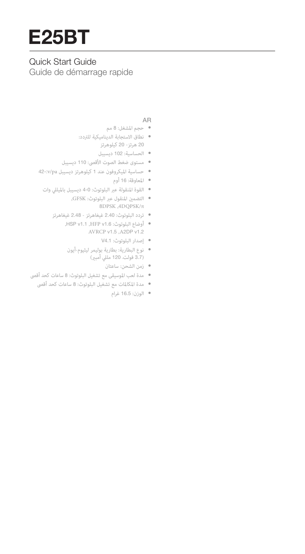# Quick Start Guide

Guide de démarrage rapide

#### AR

- حجم المشغل: <sup>8</sup> مم
- نطاق الاستجابة الديناميكية للتردد: <sup>20</sup> هرتز- <sup>20</sup> كيلوهرتز
	- الحساسية: <sup>102</sup> ديسيبل
- مستوى ضغط الصوت الأقصى: <sup>110</sup> ديسيبل
- حساسية الميكروفون عند <sup>1</sup> كيلوهرتز ديسيبل pa/v42-:
	- المعاوقة: <sup>16</sup> أوم
	- القوة المنقولة عبر البلوتوث: 4-0 ديسيبل بالميللي وات
		- التضمÀ المنقول عبر البلوتوث: GFSK, <sup>8</sup>DPSK ,4DQPSK/π
		- تردد البلوتوث: 2.40 غيغاهرتز 2.48 غيغاهرتز
			- ,HSP v1.1 ,HFP v1.6 :البلوتوث أوضاع• AVRCP v1.5 ,A2DP v1.2
				- إصدار البلوتوث: 4.1V
				- نوع البطارية: بطارية بوليمر ليثيوم-أيون<br>(3.7 فولت، 120 مللي أمبير)
					- زمن الشحن: ساعتان
- مدة لعب الموسيقى مع تشغيل البلوتوث: <sup>8</sup> ساعات كحد أقصى
	- مدة المكالمات مع تشغيل البلوتوث: <sup>8</sup> ساعات كحد أقصى
		- الوزن: 16.5 غرام